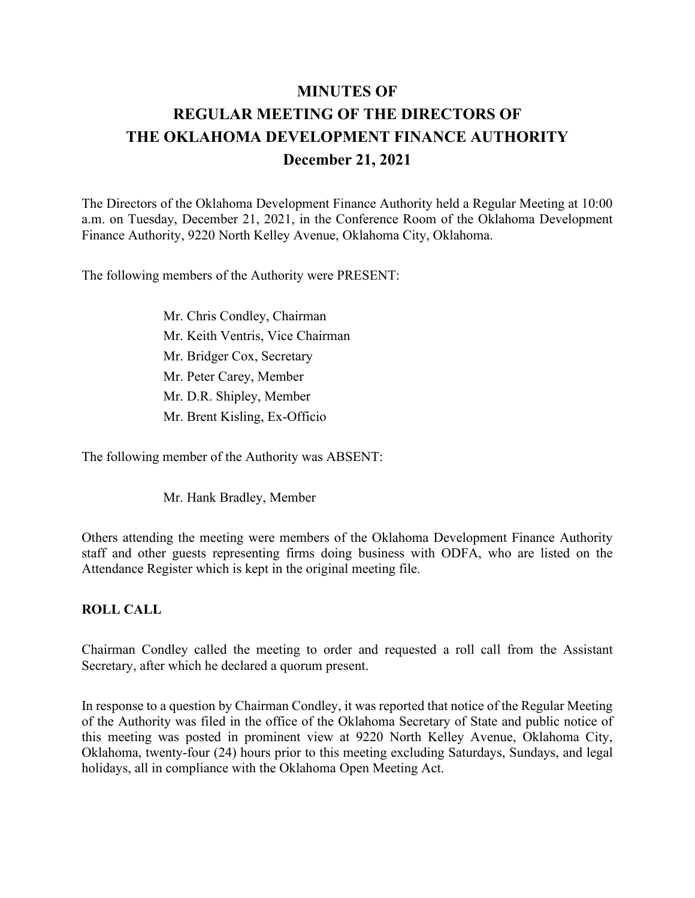# **MINUTES OF REGULAR MEETING OF THE DIRECTORS OF THE OKLAHOMA DEVELOPMENT FINANCE AUTHORITY December 21, 2021**

The Directors of the Oklahoma Development Finance Authority held a Regular Meeting at 10:00 a.m. on Tuesday, December 21, 2021, in the Conference Room of the Oklahoma Development Finance Authority, 9220 North Kelley Avenue, Oklahoma City, Oklahoma.

The following members of the Authority were PRESENT:

Mr. Chris Condley, Chairman Mr. Keith Ventris, Vice Chairman Mr. Bridger Cox, Secretary Mr. Peter Carey, Member Mr. D.R. Shipley, Member Mr. Brent Kisling, Ex-Officio

The following member of the Authority was ABSENT:

Mr. Hank Bradley, Member

Others attending the meeting were members of the Oklahoma Development Finance Authority staff and other guests representing firms doing business with ODFA, who are listed on the Attendance Register which is kept in the original meeting file.

### **ROLL CALL**

Chairman Condley called the meeting to order and requested a roll call from the Assistant Secretary, after which he declared a quorum present.

In response to a question by Chairman Condley, it was reported that notice of the Regular Meeting of the Authority was filed in the office of the Oklahoma Secretary of State and public notice of this meeting was posted in prominent view at 9220 North Kelley Avenue, Oklahoma City, Oklahoma, twenty-four (24) hours prior to this meeting excluding Saturdays, Sundays, and legal holidays, all in compliance with the Oklahoma Open Meeting Act.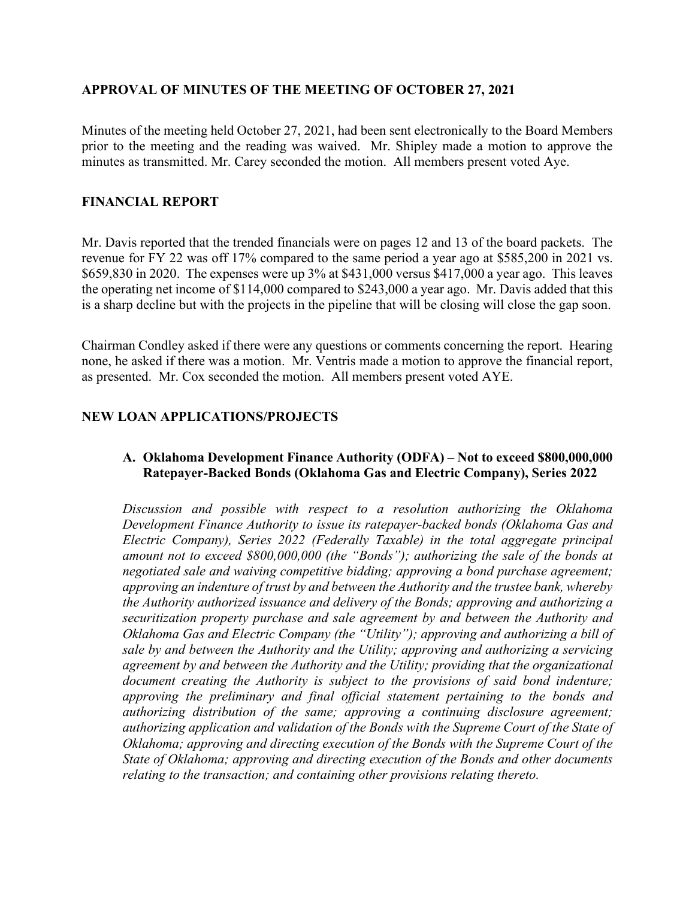## **APPROVAL OF MINUTES OF THE MEETING OF OCTOBER 27, 2021**

Minutes of the meeting held October 27, 2021, had been sent electronically to the Board Members prior to the meeting and the reading was waived. Mr. Shipley made a motion to approve the minutes as transmitted. Mr. Carey seconded the motion. All members present voted Aye.

## **FINANCIAL REPORT**

Mr. Davis reported that the trended financials were on pages 12 and 13 of the board packets. The revenue for FY 22 was off 17% compared to the same period a year ago at \$585,200 in 2021 vs. \$659,830 in 2020. The expenses were up 3% at \$431,000 versus \$417,000 a year ago. This leaves the operating net income of \$114,000 compared to \$243,000 a year ago. Mr. Davis added that this is a sharp decline but with the projects in the pipeline that will be closing will close the gap soon.

Chairman Condley asked if there were any questions or comments concerning the report. Hearing none, he asked if there was a motion. Mr. Ventris made a motion to approve the financial report, as presented. Mr. Cox seconded the motion. All members present voted AYE.

## **NEW LOAN APPLICATIONS/PROJECTS**

## **A. Oklahoma Development Finance Authority (ODFA) – Not to exceed \$800,000,000 Ratepayer-Backed Bonds (Oklahoma Gas and Electric Company), Series 2022**

*Discussion and possible with respect to a resolution authorizing the Oklahoma Development Finance Authority to issue its ratepayer-backed bonds (Oklahoma Gas and Electric Company), Series 2022 (Federally Taxable) in the total aggregate principal amount not to exceed \$800,000,000 (the "Bonds"); authorizing the sale of the bonds at negotiated sale and waiving competitive bidding; approving a bond purchase agreement; approving an indenture of trust by and between the Authority and the trustee bank, whereby the Authority authorized issuance and delivery of the Bonds; approving and authorizing a securitization property purchase and sale agreement by and between the Authority and Oklahoma Gas and Electric Company (the "Utility"); approving and authorizing a bill of sale by and between the Authority and the Utility; approving and authorizing a servicing agreement by and between the Authority and the Utility; providing that the organizational document creating the Authority is subject to the provisions of said bond indenture; approving the preliminary and final official statement pertaining to the bonds and authorizing distribution of the same; approving a continuing disclosure agreement; authorizing application and validation of the Bonds with the Supreme Court of the State of Oklahoma; approving and directing execution of the Bonds with the Supreme Court of the State of Oklahoma; approving and directing execution of the Bonds and other documents relating to the transaction; and containing other provisions relating thereto.*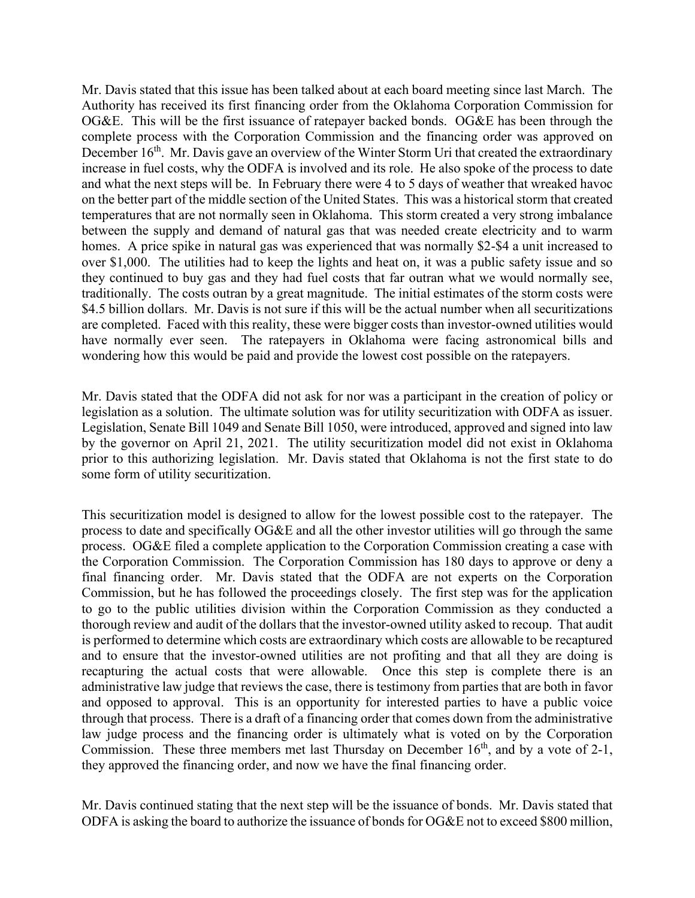Mr. Davis stated that this issue has been talked about at each board meeting since last March. The Authority has received its first financing order from the Oklahoma Corporation Commission for OG&E. This will be the first issuance of ratepayer backed bonds. OG&E has been through the complete process with the Corporation Commission and the financing order was approved on December 16<sup>th</sup>. Mr. Davis gave an overview of the Winter Storm Uri that created the extraordinary increase in fuel costs, why the ODFA is involved and its role. He also spoke of the process to date and what the next steps will be. In February there were 4 to 5 days of weather that wreaked havoc on the better part of the middle section of the United States. This was a historical storm that created temperatures that are not normally seen in Oklahoma. This storm created a very strong imbalance between the supply and demand of natural gas that was needed create electricity and to warm homes. A price spike in natural gas was experienced that was normally \$2-\$4 a unit increased to over \$1,000. The utilities had to keep the lights and heat on, it was a public safety issue and so they continued to buy gas and they had fuel costs that far outran what we would normally see, traditionally. The costs outran by a great magnitude. The initial estimates of the storm costs were \$4.5 billion dollars. Mr. Davis is not sure if this will be the actual number when all securitizations are completed. Faced with this reality, these were bigger costs than investor-owned utilities would have normally ever seen. The ratepayers in Oklahoma were facing astronomical bills and wondering how this would be paid and provide the lowest cost possible on the ratepayers.

Mr. Davis stated that the ODFA did not ask for nor was a participant in the creation of policy or legislation as a solution. The ultimate solution was for utility securitization with ODFA as issuer. Legislation, Senate Bill 1049 and Senate Bill 1050, were introduced, approved and signed into law by the governor on April 21, 2021. The utility securitization model did not exist in Oklahoma prior to this authorizing legislation. Mr. Davis stated that Oklahoma is not the first state to do some form of utility securitization.

This securitization model is designed to allow for the lowest possible cost to the ratepayer. The process to date and specifically OG&E and all the other investor utilities will go through the same process. OG&E filed a complete application to the Corporation Commission creating a case with the Corporation Commission. The Corporation Commission has 180 days to approve or deny a final financing order. Mr. Davis stated that the ODFA are not experts on the Corporation Commission, but he has followed the proceedings closely. The first step was for the application to go to the public utilities division within the Corporation Commission as they conducted a thorough review and audit of the dollars that the investor-owned utility asked to recoup. That audit is performed to determine which costs are extraordinary which costs are allowable to be recaptured and to ensure that the investor-owned utilities are not profiting and that all they are doing is recapturing the actual costs that were allowable. Once this step is complete there is an administrative law judge that reviews the case, there is testimony from parties that are both in favor and opposed to approval. This is an opportunity for interested parties to have a public voice through that process. There is a draft of a financing order that comes down from the administrative law judge process and the financing order is ultimately what is voted on by the Corporation Commission. These three members met last Thursday on December  $16<sup>th</sup>$ , and by a vote of 2-1, they approved the financing order, and now we have the final financing order.

Mr. Davis continued stating that the next step will be the issuance of bonds. Mr. Davis stated that ODFA is asking the board to authorize the issuance of bonds for OG&E not to exceed \$800 million,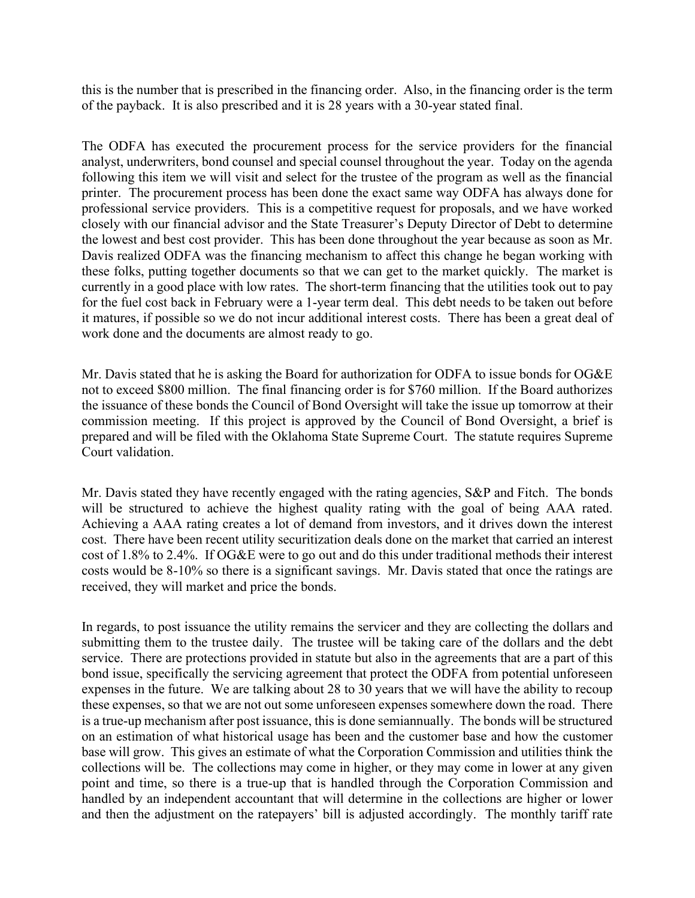this is the number that is prescribed in the financing order. Also, in the financing order is the term of the payback. It is also prescribed and it is 28 years with a 30-year stated final.

The ODFA has executed the procurement process for the service providers for the financial analyst, underwriters, bond counsel and special counsel throughout the year. Today on the agenda following this item we will visit and select for the trustee of the program as well as the financial printer. The procurement process has been done the exact same way ODFA has always done for professional service providers. This is a competitive request for proposals, and we have worked closely with our financial advisor and the State Treasurer's Deputy Director of Debt to determine the lowest and best cost provider. This has been done throughout the year because as soon as Mr. Davis realized ODFA was the financing mechanism to affect this change he began working with these folks, putting together documents so that we can get to the market quickly. The market is currently in a good place with low rates. The short-term financing that the utilities took out to pay for the fuel cost back in February were a 1-year term deal. This debt needs to be taken out before it matures, if possible so we do not incur additional interest costs. There has been a great deal of work done and the documents are almost ready to go.

Mr. Davis stated that he is asking the Board for authorization for ODFA to issue bonds for OG&E not to exceed \$800 million. The final financing order is for \$760 million. If the Board authorizes the issuance of these bonds the Council of Bond Oversight will take the issue up tomorrow at their commission meeting. If this project is approved by the Council of Bond Oversight, a brief is prepared and will be filed with the Oklahoma State Supreme Court. The statute requires Supreme Court validation.

Mr. Davis stated they have recently engaged with the rating agencies, S&P and Fitch. The bonds will be structured to achieve the highest quality rating with the goal of being AAA rated. Achieving a AAA rating creates a lot of demand from investors, and it drives down the interest cost. There have been recent utility securitization deals done on the market that carried an interest cost of 1.8% to 2.4%. If OG&E were to go out and do this under traditional methods their interest costs would be 8-10% so there is a significant savings. Mr. Davis stated that once the ratings are received, they will market and price the bonds.

In regards, to post issuance the utility remains the servicer and they are collecting the dollars and submitting them to the trustee daily. The trustee will be taking care of the dollars and the debt service. There are protections provided in statute but also in the agreements that are a part of this bond issue, specifically the servicing agreement that protect the ODFA from potential unforeseen expenses in the future. We are talking about 28 to 30 years that we will have the ability to recoup these expenses, so that we are not out some unforeseen expenses somewhere down the road. There is a true-up mechanism after post issuance, this is done semiannually. The bonds will be structured on an estimation of what historical usage has been and the customer base and how the customer base will grow. This gives an estimate of what the Corporation Commission and utilities think the collections will be. The collections may come in higher, or they may come in lower at any given point and time, so there is a true-up that is handled through the Corporation Commission and handled by an independent accountant that will determine in the collections are higher or lower and then the adjustment on the ratepayers' bill is adjusted accordingly. The monthly tariff rate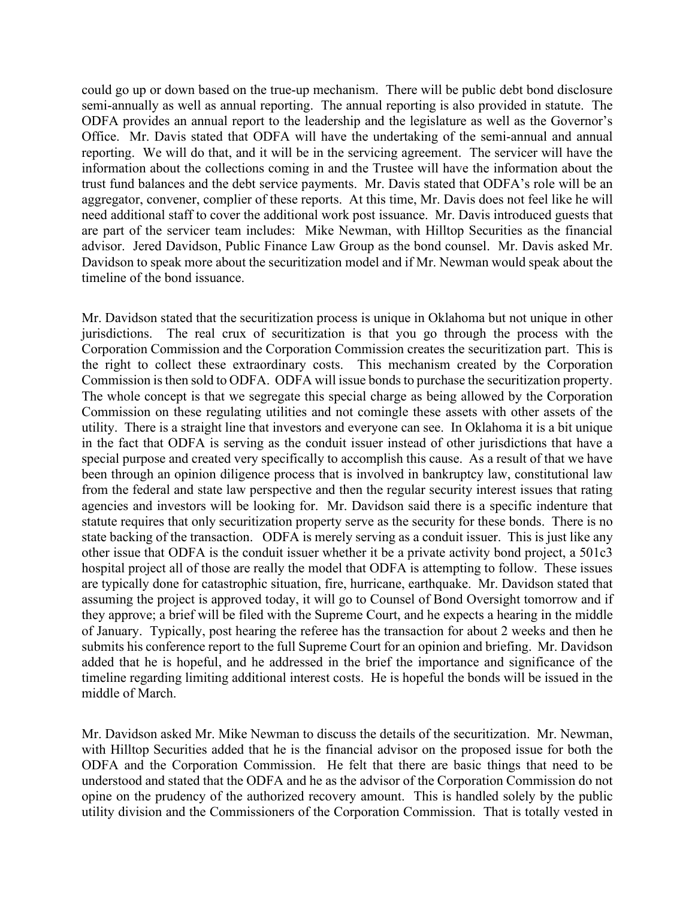could go up or down based on the true-up mechanism. There will be public debt bond disclosure semi-annually as well as annual reporting. The annual reporting is also provided in statute. The ODFA provides an annual report to the leadership and the legislature as well as the Governor's Office. Mr. Davis stated that ODFA will have the undertaking of the semi-annual and annual reporting. We will do that, and it will be in the servicing agreement. The servicer will have the information about the collections coming in and the Trustee will have the information about the trust fund balances and the debt service payments. Mr. Davis stated that ODFA's role will be an aggregator, convener, complier of these reports. At this time, Mr. Davis does not feel like he will need additional staff to cover the additional work post issuance. Mr. Davis introduced guests that are part of the servicer team includes: Mike Newman, with Hilltop Securities as the financial advisor. Jered Davidson, Public Finance Law Group as the bond counsel. Mr. Davis asked Mr. Davidson to speak more about the securitization model and if Mr. Newman would speak about the timeline of the bond issuance.

Mr. Davidson stated that the securitization process is unique in Oklahoma but not unique in other jurisdictions. The real crux of securitization is that you go through the process with the Corporation Commission and the Corporation Commission creates the securitization part. This is the right to collect these extraordinary costs. This mechanism created by the Corporation Commission is then sold to ODFA. ODFA will issue bonds to purchase the securitization property. The whole concept is that we segregate this special charge as being allowed by the Corporation Commission on these regulating utilities and not comingle these assets with other assets of the utility. There is a straight line that investors and everyone can see. In Oklahoma it is a bit unique in the fact that ODFA is serving as the conduit issuer instead of other jurisdictions that have a special purpose and created very specifically to accomplish this cause. As a result of that we have been through an opinion diligence process that is involved in bankruptcy law, constitutional law from the federal and state law perspective and then the regular security interest issues that rating agencies and investors will be looking for. Mr. Davidson said there is a specific indenture that statute requires that only securitization property serve as the security for these bonds. There is no state backing of the transaction. ODFA is merely serving as a conduit issuer. This is just like any other issue that ODFA is the conduit issuer whether it be a private activity bond project, a 501c3 hospital project all of those are really the model that ODFA is attempting to follow. These issues are typically done for catastrophic situation, fire, hurricane, earthquake. Mr. Davidson stated that assuming the project is approved today, it will go to Counsel of Bond Oversight tomorrow and if they approve; a brief will be filed with the Supreme Court, and he expects a hearing in the middle of January. Typically, post hearing the referee has the transaction for about 2 weeks and then he submits his conference report to the full Supreme Court for an opinion and briefing. Mr. Davidson added that he is hopeful, and he addressed in the brief the importance and significance of the timeline regarding limiting additional interest costs. He is hopeful the bonds will be issued in the middle of March.

Mr. Davidson asked Mr. Mike Newman to discuss the details of the securitization. Mr. Newman, with Hilltop Securities added that he is the financial advisor on the proposed issue for both the ODFA and the Corporation Commission. He felt that there are basic things that need to be understood and stated that the ODFA and he as the advisor of the Corporation Commission do not opine on the prudency of the authorized recovery amount. This is handled solely by the public utility division and the Commissioners of the Corporation Commission. That is totally vested in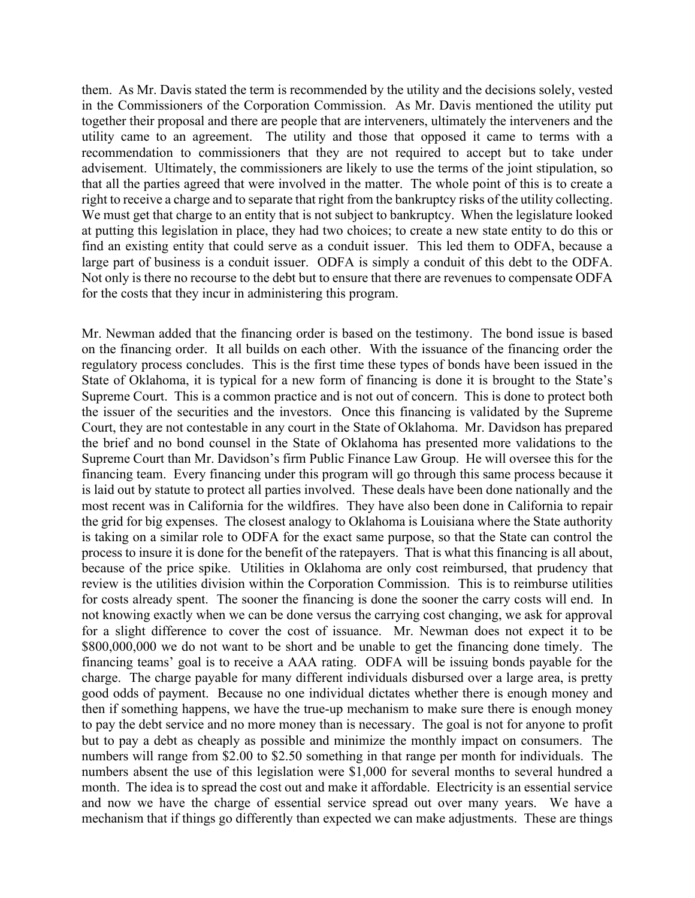them. As Mr. Davis stated the term is recommended by the utility and the decisions solely, vested in the Commissioners of the Corporation Commission. As Mr. Davis mentioned the utility put together their proposal and there are people that are interveners, ultimately the interveners and the utility came to an agreement. The utility and those that opposed it came to terms with a recommendation to commissioners that they are not required to accept but to take under advisement. Ultimately, the commissioners are likely to use the terms of the joint stipulation, so that all the parties agreed that were involved in the matter. The whole point of this is to create a right to receive a charge and to separate that right from the bankruptcy risks of the utility collecting. We must get that charge to an entity that is not subject to bankruptcy. When the legislature looked at putting this legislation in place, they had two choices; to create a new state entity to do this or find an existing entity that could serve as a conduit issuer. This led them to ODFA, because a large part of business is a conduit issuer. ODFA is simply a conduit of this debt to the ODFA. Not only is there no recourse to the debt but to ensure that there are revenues to compensate ODFA for the costs that they incur in administering this program.

Mr. Newman added that the financing order is based on the testimony. The bond issue is based on the financing order. It all builds on each other. With the issuance of the financing order the regulatory process concludes. This is the first time these types of bonds have been issued in the State of Oklahoma, it is typical for a new form of financing is done it is brought to the State's Supreme Court. This is a common practice and is not out of concern. This is done to protect both the issuer of the securities and the investors. Once this financing is validated by the Supreme Court, they are not contestable in any court in the State of Oklahoma. Mr. Davidson has prepared the brief and no bond counsel in the State of Oklahoma has presented more validations to the Supreme Court than Mr. Davidson's firm Public Finance Law Group. He will oversee this for the financing team. Every financing under this program will go through this same process because it is laid out by statute to protect all parties involved. These deals have been done nationally and the most recent was in California for the wildfires. They have also been done in California to repair the grid for big expenses. The closest analogy to Oklahoma is Louisiana where the State authority is taking on a similar role to ODFA for the exact same purpose, so that the State can control the process to insure it is done for the benefit of the ratepayers. That is what this financing is all about, because of the price spike. Utilities in Oklahoma are only cost reimbursed, that prudency that review is the utilities division within the Corporation Commission. This is to reimburse utilities for costs already spent. The sooner the financing is done the sooner the carry costs will end. In not knowing exactly when we can be done versus the carrying cost changing, we ask for approval for a slight difference to cover the cost of issuance. Mr. Newman does not expect it to be \$800,000,000 we do not want to be short and be unable to get the financing done timely. The financing teams' goal is to receive a AAA rating. ODFA will be issuing bonds payable for the charge. The charge payable for many different individuals disbursed over a large area, is pretty good odds of payment. Because no one individual dictates whether there is enough money and then if something happens, we have the true-up mechanism to make sure there is enough money to pay the debt service and no more money than is necessary. The goal is not for anyone to profit but to pay a debt as cheaply as possible and minimize the monthly impact on consumers. The numbers will range from \$2.00 to \$2.50 something in that range per month for individuals. The numbers absent the use of this legislation were \$1,000 for several months to several hundred a month. The idea is to spread the cost out and make it affordable. Electricity is an essential service and now we have the charge of essential service spread out over many years. We have a mechanism that if things go differently than expected we can make adjustments. These are things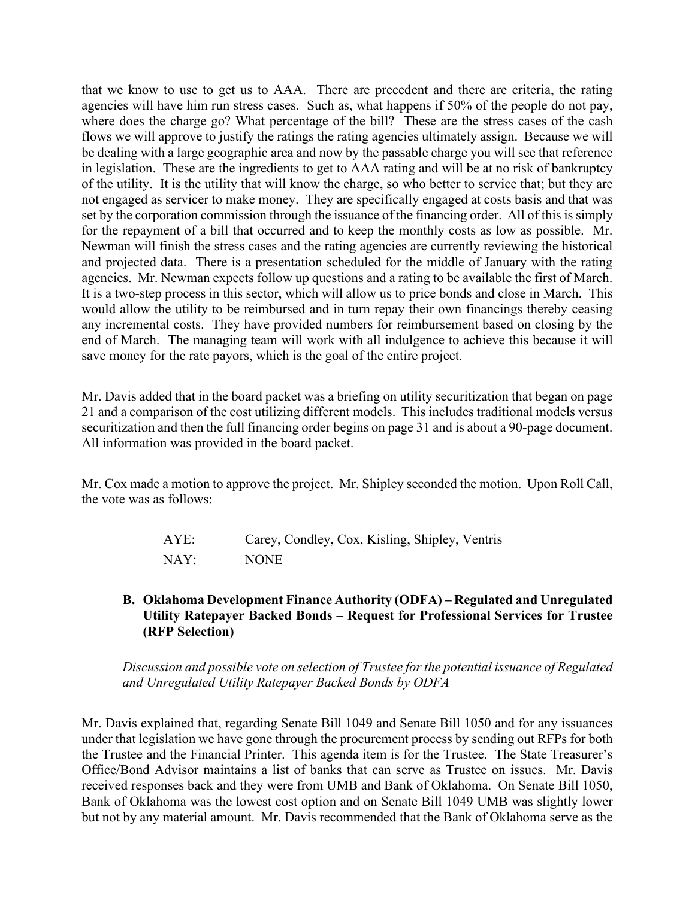that we know to use to get us to AAA. There are precedent and there are criteria, the rating agencies will have him run stress cases. Such as, what happens if 50% of the people do not pay, where does the charge go? What percentage of the bill? These are the stress cases of the cash flows we will approve to justify the ratings the rating agencies ultimately assign. Because we will be dealing with a large geographic area and now by the passable charge you will see that reference in legislation. These are the ingredients to get to AAA rating and will be at no risk of bankruptcy of the utility. It is the utility that will know the charge, so who better to service that; but they are not engaged as servicer to make money. They are specifically engaged at costs basis and that was set by the corporation commission through the issuance of the financing order. All of this is simply for the repayment of a bill that occurred and to keep the monthly costs as low as possible. Mr. Newman will finish the stress cases and the rating agencies are currently reviewing the historical and projected data. There is a presentation scheduled for the middle of January with the rating agencies. Mr. Newman expects follow up questions and a rating to be available the first of March. It is a two-step process in this sector, which will allow us to price bonds and close in March. This would allow the utility to be reimbursed and in turn repay their own financings thereby ceasing any incremental costs. They have provided numbers for reimbursement based on closing by the end of March. The managing team will work with all indulgence to achieve this because it will save money for the rate payors, which is the goal of the entire project.

Mr. Davis added that in the board packet was a briefing on utility securitization that began on page 21 and a comparison of the cost utilizing different models. This includes traditional models versus securitization and then the full financing order begins on page 31 and is about a 90-page document. All information was provided in the board packet.

Mr. Cox made a motion to approve the project. Mr. Shipley seconded the motion. Upon Roll Call, the vote was as follows:

| AYE: | Carey, Condley, Cox, Kisling, Shipley, Ventris |
|------|------------------------------------------------|
| NAY: | <b>NONE</b>                                    |

# **B. Oklahoma Development Finance Authority (ODFA) – Regulated and Unregulated Utility Ratepayer Backed Bonds – Request for Professional Services for Trustee (RFP Selection)**

*Discussion and possible vote on selection of Trustee for the potential issuance of Regulated and Unregulated Utility Ratepayer Backed Bonds by ODFA*

Mr. Davis explained that, regarding Senate Bill 1049 and Senate Bill 1050 and for any issuances under that legislation we have gone through the procurement process by sending out RFPs for both the Trustee and the Financial Printer. This agenda item is for the Trustee. The State Treasurer's Office/Bond Advisor maintains a list of banks that can serve as Trustee on issues. Mr. Davis received responses back and they were from UMB and Bank of Oklahoma. On Senate Bill 1050, Bank of Oklahoma was the lowest cost option and on Senate Bill 1049 UMB was slightly lower but not by any material amount. Mr. Davis recommended that the Bank of Oklahoma serve as the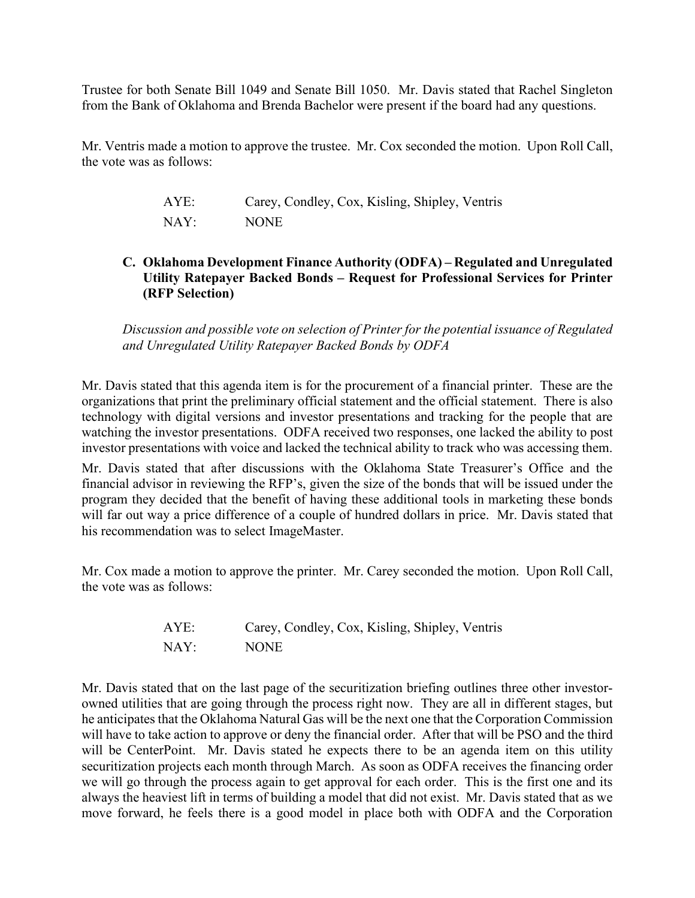Trustee for both Senate Bill 1049 and Senate Bill 1050. Mr. Davis stated that Rachel Singleton from the Bank of Oklahoma and Brenda Bachelor were present if the board had any questions.

Mr. Ventris made a motion to approve the trustee. Mr. Cox seconded the motion. Upon Roll Call, the vote was as follows:

| AYE: | Carey, Condley, Cox, Kisling, Shipley, Ventris |
|------|------------------------------------------------|
| NAY: | <b>NONE</b>                                    |

# **C. Oklahoma Development Finance Authority (ODFA) – Regulated and Unregulated Utility Ratepayer Backed Bonds – Request for Professional Services for Printer (RFP Selection)**

*Discussion and possible vote on selection of Printer for the potential issuance of Regulated and Unregulated Utility Ratepayer Backed Bonds by ODFA*

Mr. Davis stated that this agenda item is for the procurement of a financial printer. These are the organizations that print the preliminary official statement and the official statement. There is also technology with digital versions and investor presentations and tracking for the people that are watching the investor presentations. ODFA received two responses, one lacked the ability to post investor presentations with voice and lacked the technical ability to track who was accessing them.

Mr. Davis stated that after discussions with the Oklahoma State Treasurer's Office and the financial advisor in reviewing the RFP's, given the size of the bonds that will be issued under the program they decided that the benefit of having these additional tools in marketing these bonds will far out way a price difference of a couple of hundred dollars in price. Mr. Davis stated that his recommendation was to select ImageMaster.

Mr. Cox made a motion to approve the printer. Mr. Carey seconded the motion. Upon Roll Call, the vote was as follows:

| AYE: | Carey, Condley, Cox, Kisling, Shipley, Ventris |
|------|------------------------------------------------|
| NAY: | <b>NONE</b>                                    |

Mr. Davis stated that on the last page of the securitization briefing outlines three other investorowned utilities that are going through the process right now. They are all in different stages, but he anticipates that the Oklahoma Natural Gas will be the next one that the Corporation Commission will have to take action to approve or deny the financial order. After that will be PSO and the third will be CenterPoint. Mr. Davis stated he expects there to be an agenda item on this utility securitization projects each month through March. As soon as ODFA receives the financing order we will go through the process again to get approval for each order. This is the first one and its always the heaviest lift in terms of building a model that did not exist. Mr. Davis stated that as we move forward, he feels there is a good model in place both with ODFA and the Corporation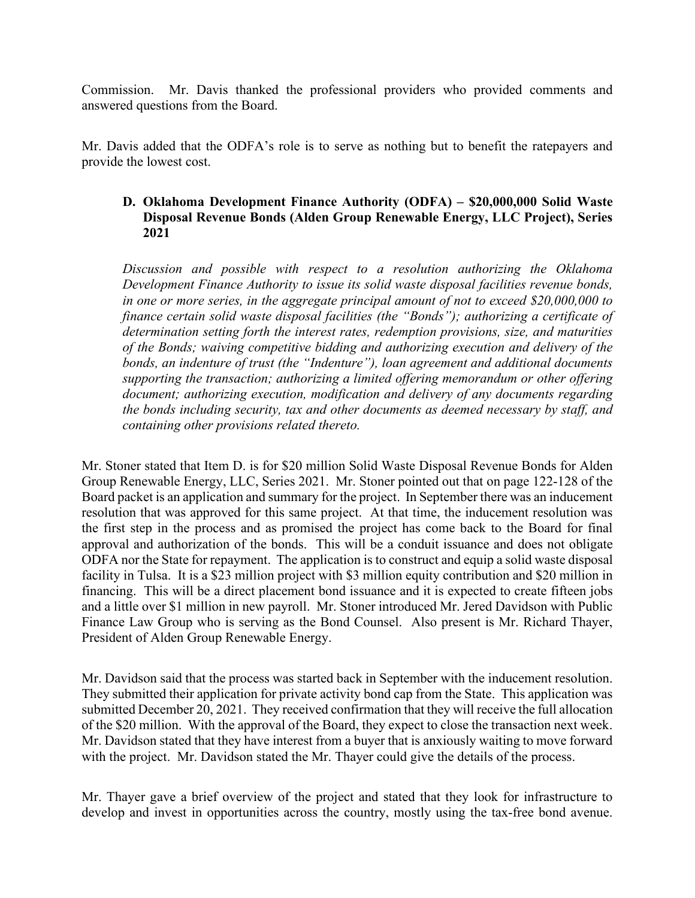Commission. Mr. Davis thanked the professional providers who provided comments and answered questions from the Board.

Mr. Davis added that the ODFA's role is to serve as nothing but to benefit the ratepayers and provide the lowest cost.

## **D. Oklahoma Development Finance Authority (ODFA) – \$20,000,000 Solid Waste Disposal Revenue Bonds (Alden Group Renewable Energy, LLC Project), Series 2021**

*Discussion and possible with respect to a resolution authorizing the Oklahoma Development Finance Authority to issue its solid waste disposal facilities revenue bonds, in one or more series, in the aggregate principal amount of not to exceed \$20,000,000 to finance certain solid waste disposal facilities (the "Bonds"); authorizing a certificate of determination setting forth the interest rates, redemption provisions, size, and maturities of the Bonds; waiving competitive bidding and authorizing execution and delivery of the bonds, an indenture of trust (the "Indenture"), loan agreement and additional documents supporting the transaction; authorizing a limited offering memorandum or other offering document; authorizing execution, modification and delivery of any documents regarding the bonds including security, tax and other documents as deemed necessary by staff, and containing other provisions related thereto.* 

Mr. Stoner stated that Item D. is for \$20 million Solid Waste Disposal Revenue Bonds for Alden Group Renewable Energy, LLC, Series 2021. Mr. Stoner pointed out that on page 122-128 of the Board packet is an application and summary for the project. In September there was an inducement resolution that was approved for this same project. At that time, the inducement resolution was the first step in the process and as promised the project has come back to the Board for final approval and authorization of the bonds. This will be a conduit issuance and does not obligate ODFA nor the State for repayment. The application is to construct and equip a solid waste disposal facility in Tulsa. It is a \$23 million project with \$3 million equity contribution and \$20 million in financing. This will be a direct placement bond issuance and it is expected to create fifteen jobs and a little over \$1 million in new payroll. Mr. Stoner introduced Mr. Jered Davidson with Public Finance Law Group who is serving as the Bond Counsel. Also present is Mr. Richard Thayer, President of Alden Group Renewable Energy.

Mr. Davidson said that the process was started back in September with the inducement resolution. They submitted their application for private activity bond cap from the State. This application was submitted December 20, 2021. They received confirmation that they will receive the full allocation of the \$20 million. With the approval of the Board, they expect to close the transaction next week. Mr. Davidson stated that they have interest from a buyer that is anxiously waiting to move forward with the project. Mr. Davidson stated the Mr. Thayer could give the details of the process.

Mr. Thayer gave a brief overview of the project and stated that they look for infrastructure to develop and invest in opportunities across the country, mostly using the tax-free bond avenue.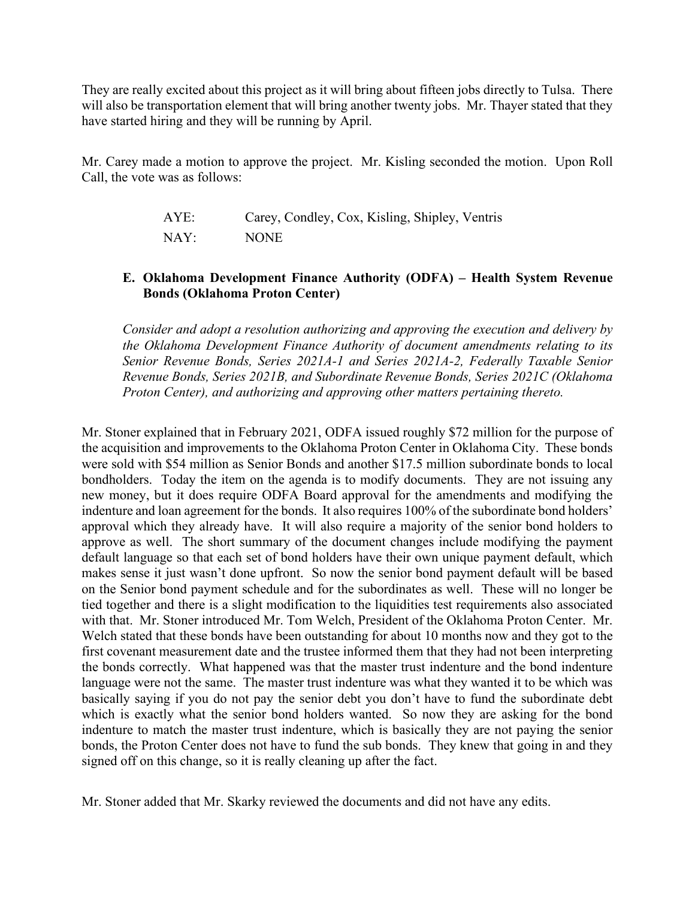They are really excited about this project as it will bring about fifteen jobs directly to Tulsa. There will also be transportation element that will bring another twenty jobs. Mr. Thayer stated that they have started hiring and they will be running by April.

Mr. Carey made a motion to approve the project. Mr. Kisling seconded the motion. Upon Roll Call, the vote was as follows:

| AYE: | Carey, Condley, Cox, Kisling, Shipley, Ventris |
|------|------------------------------------------------|
| NAY: | <b>NONE</b>                                    |

# **E. Oklahoma Development Finance Authority (ODFA) – Health System Revenue Bonds (Oklahoma Proton Center)**

*Consider and adopt a resolution authorizing and approving the execution and delivery by the Oklahoma Development Finance Authority of document amendments relating to its Senior Revenue Bonds, Series 2021A-1 and Series 2021A-2, Federally Taxable Senior Revenue Bonds, Series 2021B, and Subordinate Revenue Bonds, Series 2021C (Oklahoma Proton Center), and authorizing and approving other matters pertaining thereto.*

Mr. Stoner explained that in February 2021, ODFA issued roughly \$72 million for the purpose of the acquisition and improvements to the Oklahoma Proton Center in Oklahoma City. These bonds were sold with \$54 million as Senior Bonds and another \$17.5 million subordinate bonds to local bondholders. Today the item on the agenda is to modify documents. They are not issuing any new money, but it does require ODFA Board approval for the amendments and modifying the indenture and loan agreement for the bonds. It also requires 100% of the subordinate bond holders' approval which they already have. It will also require a majority of the senior bond holders to approve as well. The short summary of the document changes include modifying the payment default language so that each set of bond holders have their own unique payment default, which makes sense it just wasn't done upfront. So now the senior bond payment default will be based on the Senior bond payment schedule and for the subordinates as well. These will no longer be tied together and there is a slight modification to the liquidities test requirements also associated with that. Mr. Stoner introduced Mr. Tom Welch, President of the Oklahoma Proton Center. Mr. Welch stated that these bonds have been outstanding for about 10 months now and they got to the first covenant measurement date and the trustee informed them that they had not been interpreting the bonds correctly. What happened was that the master trust indenture and the bond indenture language were not the same. The master trust indenture was what they wanted it to be which was basically saying if you do not pay the senior debt you don't have to fund the subordinate debt which is exactly what the senior bond holders wanted. So now they are asking for the bond indenture to match the master trust indenture, which is basically they are not paying the senior bonds, the Proton Center does not have to fund the sub bonds. They knew that going in and they signed off on this change, so it is really cleaning up after the fact.

Mr. Stoner added that Mr. Skarky reviewed the documents and did not have any edits.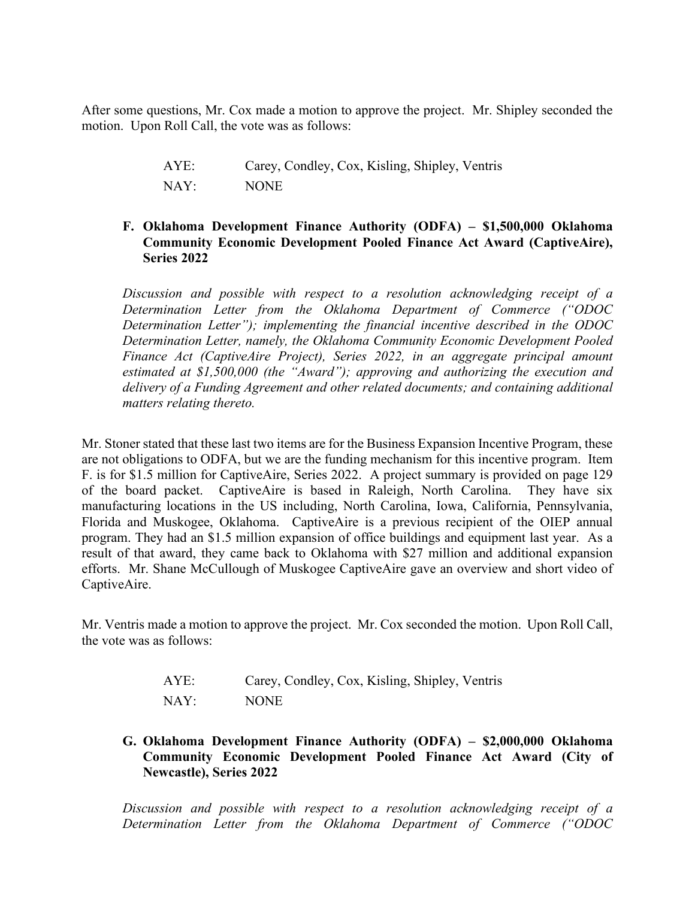After some questions, Mr. Cox made a motion to approve the project. Mr. Shipley seconded the motion. Upon Roll Call, the vote was as follows:

> AYE: Carey, Condley, Cox, Kisling, Shipley, Ventris NAY: NONE

### **F. Oklahoma Development Finance Authority (ODFA) – \$1,500,000 Oklahoma Community Economic Development Pooled Finance Act Award (CaptiveAire), Series 2022**

*Discussion and possible with respect to a resolution acknowledging receipt of a Determination Letter from the Oklahoma Department of Commerce ("ODOC Determination Letter"); implementing the financial incentive described in the ODOC Determination Letter, namely, the Oklahoma Community Economic Development Pooled Finance Act (CaptiveAire Project), Series 2022, in an aggregate principal amount estimated at \$1,500,000 (the "Award"); approving and authorizing the execution and delivery of a Funding Agreement and other related documents; and containing additional matters relating thereto.*

Mr. Stoner stated that these last two items are for the Business Expansion Incentive Program, these are not obligations to ODFA, but we are the funding mechanism for this incentive program. Item F. is for \$1.5 million for CaptiveAire, Series 2022. A project summary is provided on page 129 of the board packet. CaptiveAire is based in Raleigh, North Carolina. They have six manufacturing locations in the US including, North Carolina, Iowa, California, Pennsylvania, Florida and Muskogee, Oklahoma. CaptiveAire is a previous recipient of the OIEP annual program. They had an \$1.5 million expansion of office buildings and equipment last year. As a result of that award, they came back to Oklahoma with \$27 million and additional expansion efforts. Mr. Shane McCullough of Muskogee CaptiveAire gave an overview and short video of CaptiveAire.

Mr. Ventris made a motion to approve the project. Mr. Cox seconded the motion. Upon Roll Call, the vote was as follows:

| AYE: | Carey, Condley, Cox, Kisling, Shipley, Ventris |
|------|------------------------------------------------|
| NAY: | <b>NONE</b>                                    |

**G. Oklahoma Development Finance Authority (ODFA) – \$2,000,000 Oklahoma Community Economic Development Pooled Finance Act Award (City of Newcastle), Series 2022**

*Discussion and possible with respect to a resolution acknowledging receipt of a Determination Letter from the Oklahoma Department of Commerce ("ODOC*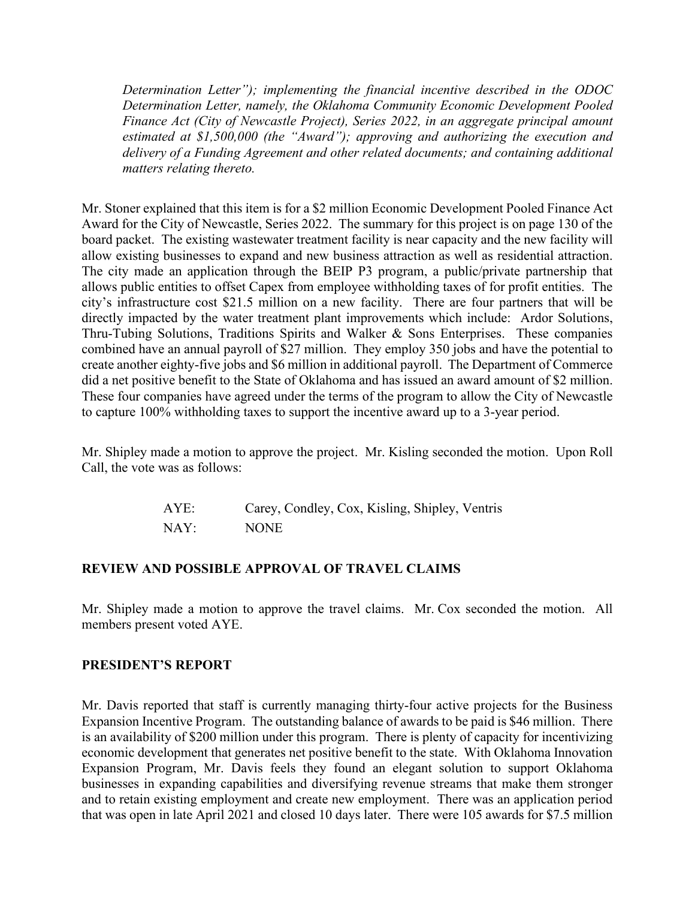*Determination Letter"); implementing the financial incentive described in the ODOC Determination Letter, namely, the Oklahoma Community Economic Development Pooled Finance Act (City of Newcastle Project), Series 2022, in an aggregate principal amount estimated at \$1,500,000 (the "Award"); approving and authorizing the execution and delivery of a Funding Agreement and other related documents; and containing additional matters relating thereto.*

Mr. Stoner explained that this item is for a \$2 million Economic Development Pooled Finance Act Award for the City of Newcastle, Series 2022. The summary for this project is on page 130 of the board packet. The existing wastewater treatment facility is near capacity and the new facility will allow existing businesses to expand and new business attraction as well as residential attraction. The city made an application through the BEIP P3 program, a public/private partnership that allows public entities to offset Capex from employee withholding taxes of for profit entities. The city's infrastructure cost \$21.5 million on a new facility. There are four partners that will be directly impacted by the water treatment plant improvements which include: Ardor Solutions, Thru-Tubing Solutions, Traditions Spirits and Walker & Sons Enterprises. These companies combined have an annual payroll of \$27 million. They employ 350 jobs and have the potential to create another eighty-five jobs and \$6 million in additional payroll. The Department of Commerce did a net positive benefit to the State of Oklahoma and has issued an award amount of \$2 million. These four companies have agreed under the terms of the program to allow the City of Newcastle to capture 100% withholding taxes to support the incentive award up to a 3-year period.

Mr. Shipley made a motion to approve the project. Mr. Kisling seconded the motion. Upon Roll Call, the vote was as follows:

| AYE: | Carey, Condley, Cox, Kisling, Shipley, Ventris |
|------|------------------------------------------------|
| NAY: | <b>NONE</b>                                    |

### **REVIEW AND POSSIBLE APPROVAL OF TRAVEL CLAIMS**

Mr. Shipley made a motion to approve the travel claims. Mr. Cox seconded the motion. All members present voted AYE.

### **PRESIDENT'S REPORT**

Mr. Davis reported that staff is currently managing thirty-four active projects for the Business Expansion Incentive Program. The outstanding balance of awards to be paid is \$46 million. There is an availability of \$200 million under this program. There is plenty of capacity for incentivizing economic development that generates net positive benefit to the state. With Oklahoma Innovation Expansion Program, Mr. Davis feels they found an elegant solution to support Oklahoma businesses in expanding capabilities and diversifying revenue streams that make them stronger and to retain existing employment and create new employment. There was an application period that was open in late April 2021 and closed 10 days later. There were 105 awards for \$7.5 million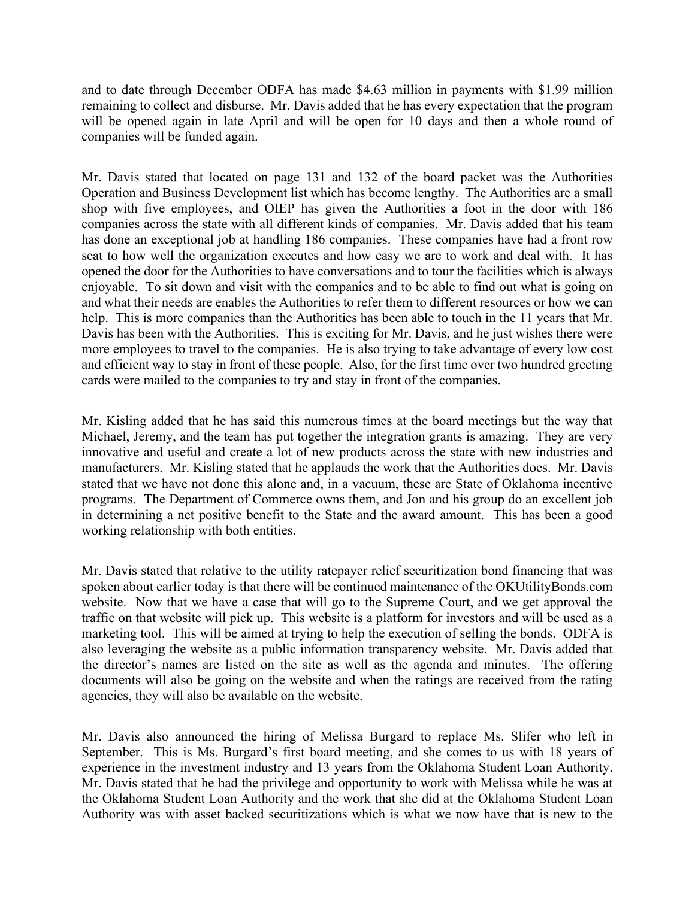and to date through December ODFA has made \$4.63 million in payments with \$1.99 million remaining to collect and disburse. Mr. Davis added that he has every expectation that the program will be opened again in late April and will be open for 10 days and then a whole round of companies will be funded again.

Mr. Davis stated that located on page 131 and 132 of the board packet was the Authorities Operation and Business Development list which has become lengthy. The Authorities are a small shop with five employees, and OIEP has given the Authorities a foot in the door with 186 companies across the state with all different kinds of companies. Mr. Davis added that his team has done an exceptional job at handling 186 companies. These companies have had a front row seat to how well the organization executes and how easy we are to work and deal with. It has opened the door for the Authorities to have conversations and to tour the facilities which is always enjoyable. To sit down and visit with the companies and to be able to find out what is going on and what their needs are enables the Authorities to refer them to different resources or how we can help. This is more companies than the Authorities has been able to touch in the 11 years that Mr. Davis has been with the Authorities. This is exciting for Mr. Davis, and he just wishes there were more employees to travel to the companies. He is also trying to take advantage of every low cost and efficient way to stay in front of these people. Also, for the first time over two hundred greeting cards were mailed to the companies to try and stay in front of the companies.

Mr. Kisling added that he has said this numerous times at the board meetings but the way that Michael, Jeremy, and the team has put together the integration grants is amazing. They are very innovative and useful and create a lot of new products across the state with new industries and manufacturers. Mr. Kisling stated that he applauds the work that the Authorities does. Mr. Davis stated that we have not done this alone and, in a vacuum, these are State of Oklahoma incentive programs. The Department of Commerce owns them, and Jon and his group do an excellent job in determining a net positive benefit to the State and the award amount. This has been a good working relationship with both entities.

Mr. Davis stated that relative to the utility ratepayer relief securitization bond financing that was spoken about earlier today is that there will be continued maintenance of the OKUtilityBonds.com website. Now that we have a case that will go to the Supreme Court, and we get approval the traffic on that website will pick up. This website is a platform for investors and will be used as a marketing tool. This will be aimed at trying to help the execution of selling the bonds. ODFA is also leveraging the website as a public information transparency website. Mr. Davis added that the director's names are listed on the site as well as the agenda and minutes. The offering documents will also be going on the website and when the ratings are received from the rating agencies, they will also be available on the website.

Mr. Davis also announced the hiring of Melissa Burgard to replace Ms. Slifer who left in September. This is Ms. Burgard's first board meeting, and she comes to us with 18 years of experience in the investment industry and 13 years from the Oklahoma Student Loan Authority. Mr. Davis stated that he had the privilege and opportunity to work with Melissa while he was at the Oklahoma Student Loan Authority and the work that she did at the Oklahoma Student Loan Authority was with asset backed securitizations which is what we now have that is new to the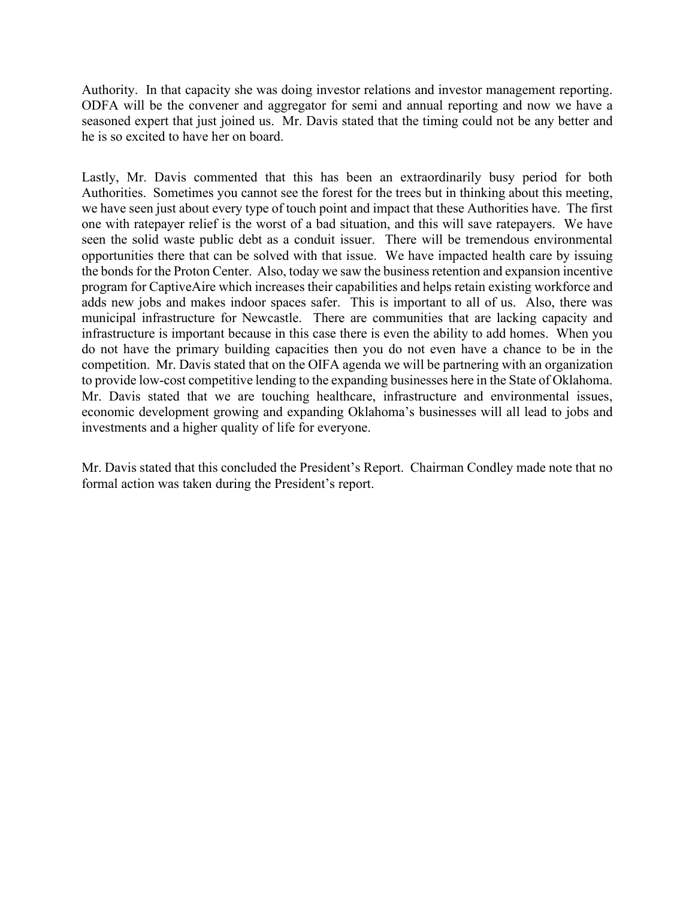Authority. In that capacity she was doing investor relations and investor management reporting. ODFA will be the convener and aggregator for semi and annual reporting and now we have a seasoned expert that just joined us. Mr. Davis stated that the timing could not be any better and he is so excited to have her on board.

Lastly, Mr. Davis commented that this has been an extraordinarily busy period for both Authorities. Sometimes you cannot see the forest for the trees but in thinking about this meeting, we have seen just about every type of touch point and impact that these Authorities have. The first one with ratepayer relief is the worst of a bad situation, and this will save ratepayers. We have seen the solid waste public debt as a conduit issuer. There will be tremendous environmental opportunities there that can be solved with that issue. We have impacted health care by issuing the bonds for the Proton Center. Also, today we saw the business retention and expansion incentive program for CaptiveAire which increases their capabilities and helps retain existing workforce and adds new jobs and makes indoor spaces safer. This is important to all of us. Also, there was municipal infrastructure for Newcastle. There are communities that are lacking capacity and infrastructure is important because in this case there is even the ability to add homes. When you do not have the primary building capacities then you do not even have a chance to be in the competition. Mr. Davis stated that on the OIFA agenda we will be partnering with an organization to provide low-cost competitive lending to the expanding businesses here in the State of Oklahoma. Mr. Davis stated that we are touching healthcare, infrastructure and environmental issues, economic development growing and expanding Oklahoma's businesses will all lead to jobs and investments and a higher quality of life for everyone.

Mr. Davis stated that this concluded the President's Report. Chairman Condley made note that no formal action was taken during the President's report.